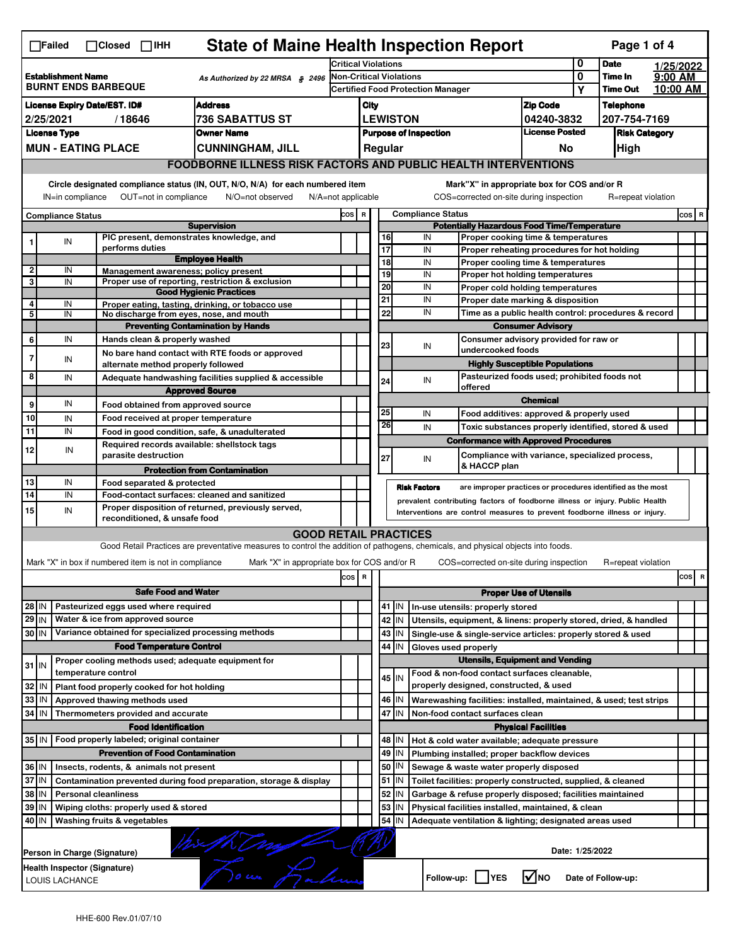| <b>State of Maine Health Inspection Report</b><br>Page 1 of 4<br>∏Failed<br>$\Box$ Closed $\Box$ IHH                                                                                                                                                                                  |                                                                                                                                                         |  |                                                       |                                                                                                                                   |                                                                              |                               |          |                                   |                                                                            |                                                                                           |                      |                    |           |       |   |  |
|---------------------------------------------------------------------------------------------------------------------------------------------------------------------------------------------------------------------------------------------------------------------------------------|---------------------------------------------------------------------------------------------------------------------------------------------------------|--|-------------------------------------------------------|-----------------------------------------------------------------------------------------------------------------------------------|------------------------------------------------------------------------------|-------------------------------|----------|-----------------------------------|----------------------------------------------------------------------------|-------------------------------------------------------------------------------------------|----------------------|--------------------|-----------|-------|---|--|
|                                                                                                                                                                                                                                                                                       |                                                                                                                                                         |  |                                                       |                                                                                                                                   | <b>Critical Violations</b>                                                   |                               |          |                                   |                                                                            |                                                                                           | 0                    | <b>Date</b>        | 1/25/2022 |       |   |  |
| <b>Establishment Name</b><br>As Authorized by 22 MRSA § 2496<br><b>BURNT ENDS BARBEQUE</b>                                                                                                                                                                                            |                                                                                                                                                         |  | <b>Non-Critical Violations</b>                        |                                                                                                                                   |                                                                              |                               |          |                                   | 0                                                                          | Time In                                                                                   | 9:00 AM              |                    |           |       |   |  |
|                                                                                                                                                                                                                                                                                       |                                                                                                                                                         |  |                                                       |                                                                                                                                   |                                                                              |                               |          | Certified Food Protection Manager |                                                                            | Υ                                                                                         | <b>Time Out</b>      | 10:00 AM           |           |       |   |  |
| <b>Address</b><br><b>License Expiry Date/EST. ID#</b>                                                                                                                                                                                                                                 |                                                                                                                                                         |  |                                                       |                                                                                                                                   | City                                                                         |                               |          |                                   | <b>Zip Code</b>                                                            |                                                                                           | <b>Telephone</b>     |                    |           |       |   |  |
| <b>736 SABATTUS ST</b><br>2/25/2021<br>/18646                                                                                                                                                                                                                                         |                                                                                                                                                         |  |                                                       |                                                                                                                                   | <b>LEWISTON</b><br>04240-3832                                                |                               |          |                                   |                                                                            |                                                                                           | 207-754-7169         |                    |           |       |   |  |
| <b>License Type</b><br><b>Owner Name</b>                                                                                                                                                                                                                                              |                                                                                                                                                         |  |                                                       |                                                                                                                                   | <b>License Posted</b><br><b>Purpose of Inspection</b>                        |                               |          |                                   |                                                                            |                                                                                           | <b>Risk Category</b> |                    |           |       |   |  |
|                                                                                                                                                                                                                                                                                       |                                                                                                                                                         |  | <b>MUN - EATING PLACE</b>                             | <b>CUNNINGHAM, JILL</b>                                                                                                           |                                                                              |                               |          | Regular                           |                                                                            | No                                                                                        |                      | High               |           |       |   |  |
|                                                                                                                                                                                                                                                                                       | <b>FOODBORNE ILLNESS RISK FACTORS AND PUBLIC HEALTH INTERVENTIONS</b>                                                                                   |  |                                                       |                                                                                                                                   |                                                                              |                               |          |                                   |                                                                            |                                                                                           |                      |                    |           |       |   |  |
| Circle designated compliance status (IN, OUT, N/O, N/A) for each numbered item<br>Mark"X" in appropriate box for COS and/or R<br>OUT=not in compliance<br>COS=corrected on-site during inspection<br>IN=in compliance<br>N/O=not observed<br>N/A=not applicable<br>R=repeat violation |                                                                                                                                                         |  |                                                       |                                                                                                                                   |                                                                              |                               |          |                                   |                                                                            |                                                                                           |                      |                    |           |       |   |  |
|                                                                                                                                                                                                                                                                                       | <b>Compliance Status</b>                                                                                                                                |  |                                                       |                                                                                                                                   |                                                                              | COS R                         |          |                                   | <b>Compliance Status</b>                                                   |                                                                                           |                      |                    |           | COS R |   |  |
|                                                                                                                                                                                                                                                                                       |                                                                                                                                                         |  |                                                       | <b>Supervision</b>                                                                                                                | <b>Potentially Hazardous Food Time/Temperature</b>                           |                               |          |                                   |                                                                            |                                                                                           |                      |                    |           |       |   |  |
| 1                                                                                                                                                                                                                                                                                     | IN                                                                                                                                                      |  | PIC present, demonstrates knowledge, and              |                                                                                                                                   |                                                                              |                               | 16       |                                   | IN                                                                         | Proper cooking time & temperatures                                                        |                      |                    |           |       |   |  |
|                                                                                                                                                                                                                                                                                       |                                                                                                                                                         |  | performs duties                                       | <b>Employee Health</b>                                                                                                            |                                                                              |                               | 17       |                                   | IN                                                                         | Proper reheating procedures for hot holding                                               |                      |                    |           |       |   |  |
| $\overline{2}$                                                                                                                                                                                                                                                                        | IN                                                                                                                                                      |  | Management awareness: policy present                  |                                                                                                                                   |                                                                              |                               | 18       |                                   | IN                                                                         | Proper cooling time & temperatures                                                        |                      |                    |           |       |   |  |
| 3                                                                                                                                                                                                                                                                                     | IN                                                                                                                                                      |  |                                                       | Proper use of reporting, restriction & exclusion                                                                                  |                                                                              |                               | 19<br>20 |                                   | IN<br>IN                                                                   | Proper hot holding temperatures                                                           |                      |                    |           |       |   |  |
|                                                                                                                                                                                                                                                                                       |                                                                                                                                                         |  |                                                       | <b>Good Hygienic Practices</b>                                                                                                    |                                                                              |                               | 21       |                                   |                                                                            | Proper cold holding temperatures                                                          |                      |                    |           |       |   |  |
| 4                                                                                                                                                                                                                                                                                     | IN                                                                                                                                                      |  |                                                       | Proper eating, tasting, drinking, or tobacco use                                                                                  |                                                                              |                               | 22       |                                   | IN<br>IN                                                                   | Proper date marking & disposition<br>Time as a public health control: procedures & record |                      |                    |           |       |   |  |
| 5                                                                                                                                                                                                                                                                                     | IN                                                                                                                                                      |  | No discharge from eyes, nose, and mouth               |                                                                                                                                   |                                                                              |                               |          |                                   |                                                                            |                                                                                           |                      |                    |           |       |   |  |
|                                                                                                                                                                                                                                                                                       |                                                                                                                                                         |  |                                                       | <b>Preventing Contamination by Hands</b>                                                                                          |                                                                              |                               |          |                                   |                                                                            | <b>Consumer Advisory</b>                                                                  |                      |                    |           |       |   |  |
| 6                                                                                                                                                                                                                                                                                     | IN                                                                                                                                                      |  | Hands clean & properly washed                         |                                                                                                                                   |                                                                              |                               | 23       |                                   | IN                                                                         | Consumer advisory provided for raw or                                                     |                      |                    |           |       |   |  |
| $\overline{7}$                                                                                                                                                                                                                                                                        | IN                                                                                                                                                      |  |                                                       | No bare hand contact with RTE foods or approved                                                                                   |                                                                              |                               |          |                                   |                                                                            | undercooked foods<br><b>Highly Susceptible Populations</b>                                |                      |                    |           |       |   |  |
| 8                                                                                                                                                                                                                                                                                     | IN                                                                                                                                                      |  | alternate method properly followed                    |                                                                                                                                   |                                                                              |                               |          |                                   |                                                                            | Pasteurized foods used; prohibited foods not                                              |                      |                    |           |       |   |  |
|                                                                                                                                                                                                                                                                                       |                                                                                                                                                         |  |                                                       | Adequate handwashing facilities supplied & accessible                                                                             |                                                                              |                               | 24       |                                   | IN<br>offered                                                              |                                                                                           |                      |                    |           |       |   |  |
|                                                                                                                                                                                                                                                                                       | IN                                                                                                                                                      |  |                                                       | <b>Approved Source</b>                                                                                                            |                                                                              |                               |          |                                   |                                                                            | <b>Chemical</b>                                                                           |                      |                    |           |       |   |  |
| 9                                                                                                                                                                                                                                                                                     |                                                                                                                                                         |  | Food obtained from approved source                    |                                                                                                                                   |                                                                              |                               | 25       |                                   | IN                                                                         | Food additives: approved & properly used                                                  |                      |                    |           |       |   |  |
| 10                                                                                                                                                                                                                                                                                    | IN                                                                                                                                                      |  | Food received at proper temperature                   |                                                                                                                                   |                                                                              |                               | 26       |                                   | IN                                                                         | Toxic substances properly identified, stored & used                                       |                      |                    |           |       |   |  |
| 11                                                                                                                                                                                                                                                                                    | IN                                                                                                                                                      |  | Food in good condition, safe, & unadulterated         |                                                                                                                                   |                                                                              |                               |          |                                   | <b>Conformance with Approved Procedures</b>                                |                                                                                           |                      |                    |           |       |   |  |
| 12                                                                                                                                                                                                                                                                                    | IN                                                                                                                                                      |  | Required records available: shellstock tags           |                                                                                                                                   |                                                                              |                               |          |                                   |                                                                            |                                                                                           |                      |                    |           |       |   |  |
|                                                                                                                                                                                                                                                                                       |                                                                                                                                                         |  | parasite destruction                                  |                                                                                                                                   |                                                                              |                               | 27       |                                   | IN<br>& HACCP plan                                                         | Compliance with variance, specialized process,                                            |                      |                    |           |       |   |  |
|                                                                                                                                                                                                                                                                                       |                                                                                                                                                         |  |                                                       | <b>Protection from Contamination</b>                                                                                              |                                                                              |                               |          |                                   |                                                                            |                                                                                           |                      |                    |           |       |   |  |
| 13<br>14                                                                                                                                                                                                                                                                              | IN<br>IN                                                                                                                                                |  | Food separated & protected                            |                                                                                                                                   |                                                                              |                               |          |                                   | <b>Risk Factors</b>                                                        | are improper practices or procedures identified as the most                               |                      |                    |           |       |   |  |
|                                                                                                                                                                                                                                                                                       |                                                                                                                                                         |  | Food-contact surfaces: cleaned and sanitized          | Proper disposition of returned, previously served,                                                                                | prevalent contributing factors of foodborne illness or injury. Public Health |                               |          |                                   |                                                                            |                                                                                           |                      |                    |           |       |   |  |
| 15                                                                                                                                                                                                                                                                                    | IN                                                                                                                                                      |  | reconditioned, & unsafe food                          |                                                                                                                                   |                                                                              |                               |          |                                   | Interventions are control measures to prevent foodborne illness or injury. |                                                                                           |                      |                    |           |       |   |  |
|                                                                                                                                                                                                                                                                                       |                                                                                                                                                         |  |                                                       | <b>GOOD RETAIL PRACTICES</b>                                                                                                      |                                                                              |                               |          |                                   |                                                                            |                                                                                           |                      |                    |           |       |   |  |
|                                                                                                                                                                                                                                                                                       |                                                                                                                                                         |  |                                                       | Good Retail Practices are preventative measures to control the addition of pathogens, chemicals, and physical objects into foods. |                                                                              |                               |          |                                   |                                                                            |                                                                                           |                      |                    |           |       |   |  |
|                                                                                                                                                                                                                                                                                       |                                                                                                                                                         |  |                                                       |                                                                                                                                   |                                                                              |                               |          |                                   |                                                                            |                                                                                           |                      | R=repeat violation |           |       |   |  |
|                                                                                                                                                                                                                                                                                       |                                                                                                                                                         |  | Mark "X" in box if numbered item is not in compliance | Mark "X" in appropriate box for COS and/or R                                                                                      |                                                                              |                               |          |                                   | COS=corrected on-site during inspection                                    |                                                                                           |                      |                    |           |       |   |  |
|                                                                                                                                                                                                                                                                                       |                                                                                                                                                         |  |                                                       |                                                                                                                                   | cos                                                                          | $\overline{\mathbf{R}}$       |          |                                   |                                                                            |                                                                                           |                      |                    |           | cos   | R |  |
|                                                                                                                                                                                                                                                                                       |                                                                                                                                                         |  | <b>Safe Food and Water</b>                            |                                                                                                                                   |                                                                              | <b>Proper Use of Utensils</b> |          |                                   |                                                                            |                                                                                           |                      |                    |           |       |   |  |
| 28 IN                                                                                                                                                                                                                                                                                 |                                                                                                                                                         |  | Pasteurized eggs used where required                  |                                                                                                                                   |                                                                              |                               |          | 41 J IN                           | In-use utensils: properly stored                                           |                                                                                           |                      |                    |           |       |   |  |
| $29$ IN                                                                                                                                                                                                                                                                               |                                                                                                                                                         |  | Water & ice from approved source                      |                                                                                                                                   |                                                                              |                               |          | 42 IN                             | Utensils, equipment, & linens: properly stored, dried, & handled           |                                                                                           |                      |                    |           |       |   |  |
| 30 IN                                                                                                                                                                                                                                                                                 |                                                                                                                                                         |  | Variance obtained for specialized processing methods  |                                                                                                                                   |                                                                              |                               |          | 43   IN                           | Single-use & single-service articles: properly stored & used               |                                                                                           |                      |                    |           |       |   |  |
|                                                                                                                                                                                                                                                                                       |                                                                                                                                                         |  | <b>Food Temperature Control</b>                       |                                                                                                                                   |                                                                              |                               | 44       | IN                                | Gloves used properly                                                       |                                                                                           |                      |                    |           |       |   |  |
| $31$ IN                                                                                                                                                                                                                                                                               |                                                                                                                                                         |  | Proper cooling methods used; adequate equipment for   |                                                                                                                                   |                                                                              |                               |          |                                   |                                                                            | <b>Utensils, Equipment and Vending</b>                                                    |                      |                    |           |       |   |  |
|                                                                                                                                                                                                                                                                                       |                                                                                                                                                         |  | temperature control                                   |                                                                                                                                   |                                                                              |                               |          | $45$ IN                           | Food & non-food contact surfaces cleanable,                                |                                                                                           |                      |                    |           |       |   |  |
| 32                                                                                                                                                                                                                                                                                    | IN                                                                                                                                                      |  | Plant food properly cooked for hot holding            |                                                                                                                                   |                                                                              |                               |          |                                   | properly designed, constructed, & used                                     |                                                                                           |                      |                    |           |       |   |  |
| 33                                                                                                                                                                                                                                                                                    | IN                                                                                                                                                      |  | Approved thawing methods used                         |                                                                                                                                   |                                                                              |                               |          | 46 IN                             | Warewashing facilities: installed, maintained, & used; test strips         |                                                                                           |                      |                    |           |       |   |  |
| 34                                                                                                                                                                                                                                                                                    | l IN                                                                                                                                                    |  | Thermometers provided and accurate                    |                                                                                                                                   |                                                                              |                               |          | 47 I IN                           | Non-food contact surfaces clean                                            |                                                                                           |                      |                    |           |       |   |  |
|                                                                                                                                                                                                                                                                                       |                                                                                                                                                         |  | <b>Food Identification</b>                            |                                                                                                                                   |                                                                              |                               |          |                                   |                                                                            | <b>Physical Facilities</b>                                                                |                      |                    |           |       |   |  |
|                                                                                                                                                                                                                                                                                       |                                                                                                                                                         |  | 35 IN   Food properly labeled; original container     |                                                                                                                                   |                                                                              |                               |          | 48   IN                           | Hot & cold water available; adequate pressure                              |                                                                                           |                      |                    |           |       |   |  |
|                                                                                                                                                                                                                                                                                       |                                                                                                                                                         |  | <b>Prevention of Food Contamination</b>               |                                                                                                                                   |                                                                              |                               | 49       | IN                                | Plumbing installed; proper backflow devices                                |                                                                                           |                      |                    |           |       |   |  |
|                                                                                                                                                                                                                                                                                       | 36 IN<br>Insects, rodents, & animals not present                                                                                                        |  |                                                       |                                                                                                                                   |                                                                              |                               | 50       | IN                                | Sewage & waste water properly disposed                                     |                                                                                           |                      |                    |           |       |   |  |
|                                                                                                                                                                                                                                                                                       | 37 IN<br>51<br>Contamination prevented during food preparation, storage & display<br>Toilet facilities: properly constructed, supplied, & cleaned<br>IN |  |                                                       |                                                                                                                                   |                                                                              |                               |          |                                   |                                                                            |                                                                                           |                      |                    |           |       |   |  |
| 38<br>ΙM<br><b>Personal cleanliness</b>                                                                                                                                                                                                                                               |                                                                                                                                                         |  |                                                       |                                                                                                                                   |                                                                              |                               | 52       | ΙN                                | Garbage & refuse properly disposed; facilities maintained                  |                                                                                           |                      |                    |           |       |   |  |
| 53<br>39<br>ΙM<br>Wiping cloths: properly used & stored<br>Physical facilities installed, maintained, & clean<br>ΙN                                                                                                                                                                   |                                                                                                                                                         |  |                                                       |                                                                                                                                   |                                                                              |                               |          |                                   |                                                                            |                                                                                           |                      |                    |           |       |   |  |
| 40 IN<br>Washing fruits & vegetables                                                                                                                                                                                                                                                  |                                                                                                                                                         |  |                                                       |                                                                                                                                   |                                                                              |                               | 54       |                                   | Adequate ventilation & lighting; designated areas used                     |                                                                                           |                      |                    |           |       |   |  |
|                                                                                                                                                                                                                                                                                       |                                                                                                                                                         |  |                                                       |                                                                                                                                   |                                                                              |                               |          |                                   |                                                                            |                                                                                           |                      |                    |           |       |   |  |
|                                                                                                                                                                                                                                                                                       |                                                                                                                                                         |  | Person in Charge (Signature)                          | Mempera                                                                                                                           |                                                                              |                               |          |                                   |                                                                            | Date: 1/25/2022                                                                           |                      |                    |           |       |   |  |
|                                                                                                                                                                                                                                                                                       | Health Inspector (Signature)<br>l√lno<br>Follow-up:     YES<br>Date of Follow-up:<br>LOUIS LACHANCE                                                     |  |                                                       |                                                                                                                                   |                                                                              |                               |          |                                   |                                                                            |                                                                                           |                      |                    |           |       |   |  |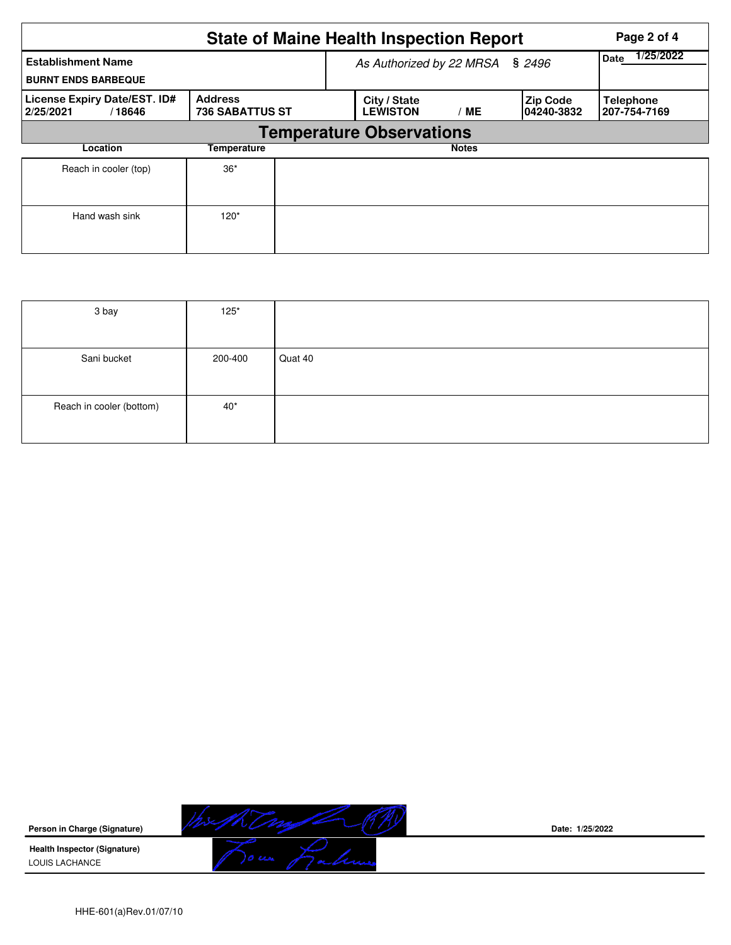|                                                         |                                          |                                 | <b>State of Maine Health Inspection Report</b> | Page 2 of 4  |                                |                                  |  |  |  |  |
|---------------------------------------------------------|------------------------------------------|---------------------------------|------------------------------------------------|--------------|--------------------------------|----------------------------------|--|--|--|--|
| <b>Establishment Name</b><br><b>BURNT ENDS BARBEQUE</b> |                                          | As Authorized by 22 MRSA § 2496 | 1/25/2022<br><b>Date</b>                       |              |                                |                                  |  |  |  |  |
| License Expiry Date/EST. ID#<br>2/25/2021<br>/18646     | <b>Address</b><br><b>736 SABATTUS ST</b> |                                 | City / State<br><b>LEWISTON</b><br>ME          |              | <b>Zip Code</b><br>104240-3832 | <b>Telephone</b><br>207-754-7169 |  |  |  |  |
| <b>Temperature Observations</b>                         |                                          |                                 |                                                |              |                                |                                  |  |  |  |  |
| Location                                                | <b>Temperature</b>                       |                                 |                                                | <b>Notes</b> |                                |                                  |  |  |  |  |
| Reach in cooler (top)                                   | $36*$                                    |                                 |                                                |              |                                |                                  |  |  |  |  |
| Hand wash sink                                          | $120*$                                   |                                 |                                                |              |                                |                                  |  |  |  |  |

| 3 bay                    | $125*$  |         |
|--------------------------|---------|---------|
|                          |         |         |
| Sani bucket              | 200-400 | Quat 40 |
|                          |         |         |
| Reach in cooler (bottom) | $40*$   |         |
|                          |         |         |



**Date: 1/25/2022**

HHE-601(a)Rev.01/07/10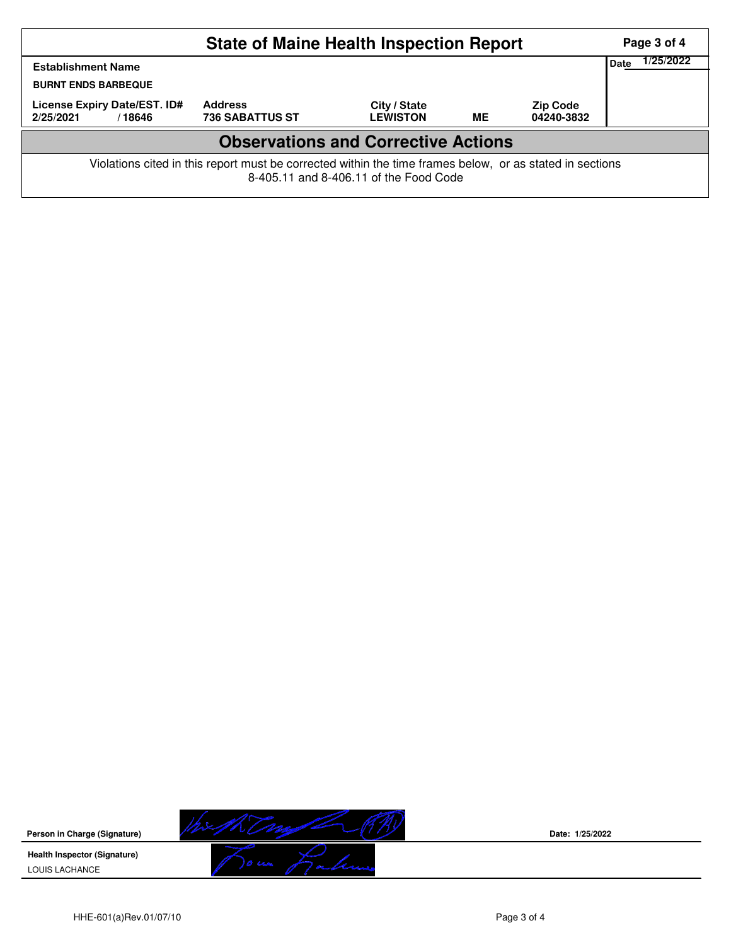| <b>State of Maine Health Inspection Report</b><br>Page 3 of 4                                                                                      |                                          |                                 |           |                               |  |  |  |  |  |  |
|----------------------------------------------------------------------------------------------------------------------------------------------------|------------------------------------------|---------------------------------|-----------|-------------------------------|--|--|--|--|--|--|
| <b>Establishment Name</b><br><b>BURNT ENDS BARBEQUE</b>                                                                                            |                                          |                                 |           |                               |  |  |  |  |  |  |
| License Expiry Date/EST. ID#<br>2/25/2021<br>/18646                                                                                                | <b>Address</b><br><b>736 SABATTUS ST</b> | City / State<br><b>LEWISTON</b> | <b>ME</b> | <b>Zip Code</b><br>04240-3832 |  |  |  |  |  |  |
| <b>Observations and Corrective Actions</b>                                                                                                         |                                          |                                 |           |                               |  |  |  |  |  |  |
| Violations cited in this report must be corrected within the time frames below, or as stated in sections<br>8-405.11 and 8-406.11 of the Food Code |                                          |                                 |           |                               |  |  |  |  |  |  |



**Date: 1/25/2022**